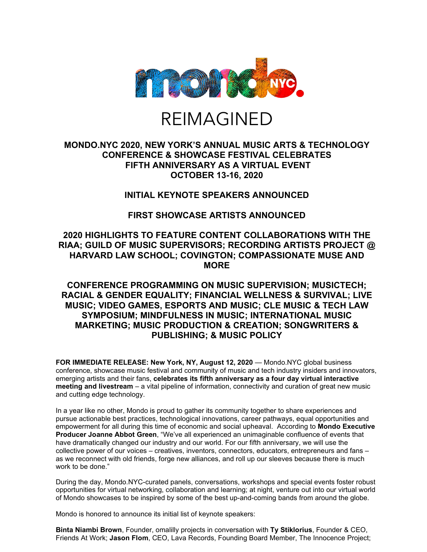

# REIMAGINED

## **MONDO.NYC 2020, NEW YORK'S ANNUAL MUSIC ARTS & TECHNOLOGY CONFERENCE & SHOWCASE FESTIVAL CELEBRATES FIFTH ANNIVERSARY AS A VIRTUAL EVENT OCTOBER 13-16, 2020**

## **INITIAL KEYNOTE SPEAKERS ANNOUNCED**

# **FIRST SHOWCASE ARTISTS ANNOUNCED**

### **2020 HIGHLIGHTS TO FEATURE CONTENT COLLABORATIONS WITH THE RIAA; GUILD OF MUSIC SUPERVISORS; RECORDING ARTISTS PROJECT @ HARVARD LAW SCHOOL; COVINGTON; COMPASSIONATE MUSE AND MORE**

## **CONFERENCE PROGRAMMING ON MUSIC SUPERVISION; MUSICTECH; RACIAL & GENDER EQUALITY; FINANCIAL WELLNESS & SURVIVAL; LIVE MUSIC; VIDEO GAMES, ESPORTS AND MUSIC; CLE MUSIC & TECH LAW SYMPOSIUM; MINDFULNESS IN MUSIC; INTERNATIONAL MUSIC MARKETING; MUSIC PRODUCTION & CREATION; SONGWRITERS & PUBLISHING; & MUSIC POLICY**

**FOR IMMEDIATE RELEASE: New York, NY, August 12, 2020** — Mondo.NYC global business conference, showcase music festival and community of music and tech industry insiders and innovators, emerging artists and their fans, **celebrates its fifth anniversary as a four day virtual interactive meeting and livestream** – a vital pipeline of information, connectivity and curation of great new music and cutting edge technology.

In a year like no other, Mondo is proud to gather its community together to share experiences and pursue actionable best practices, technological innovations, career pathways, equal opportunities and empowerment for all during this time of economic and social upheaval. According to **Mondo Executive Producer Joanne Abbot Green**, "We've all experienced an unimaginable confluence of events that have dramatically changed our industry and our world. For our fifth anniversary, we will use the collective power of our voices – creatives, inventors, connectors, educators, entrepreneurs and fans – as we reconnect with old friends, forge new alliances, and roll up our sleeves because there is much work to be done."

During the day, Mondo.NYC-curated panels, conversations, workshops and special events foster robust opportunities for virtual networking, collaboration and learning; at night, venture out into our virtual world of Mondo showcases to be inspired by some of the best up-and-coming bands from around the globe.

Mondo is honored to announce its initial list of keynote speakers:

**Binta Niambi Brown**, Founder, omalilly projects in conversation with **Ty Stiklorius**, Founder & CEO, Friends At Work; **Jason Flom**, CEO, Lava Records, Founding Board Member, The Innocence Project;